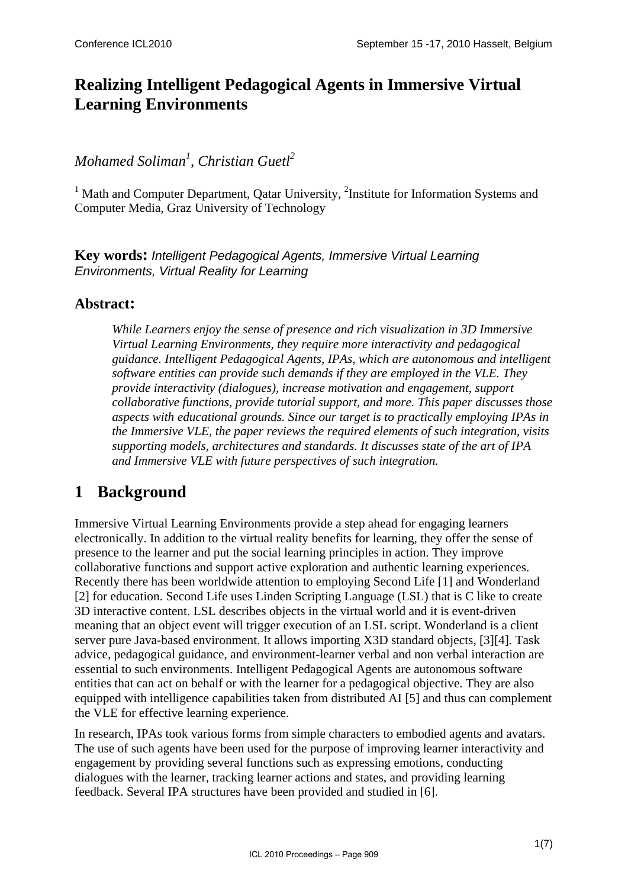## **Realizing Intelligent Pedagogical Agents in Immersive Virtual Learning Environments**

### *Mohamed Soliman<sup>1</sup> , Christian Guetl<sup>2</sup>*

<sup>1</sup> Math and Computer Department, Qatar University, <sup>2</sup>Institute for Information Systems and Computer Media, Graz University of Technology

**Key words:** *Intelligent Pedagogical Agents, Immersive Virtual Learning Environments, Virtual Reality for Learning* 

### **Abstract:**

*While Learners enjoy the sense of presence and rich visualization in 3D Immersive Virtual Learning Environments, they require more interactivity and pedagogical guidance. Intelligent Pedagogical Agents, IPAs, which are autonomous and intelligent software entities can provide such demands if they are employed in the VLE. They provide interactivity (dialogues), increase motivation and engagement, support collaborative functions, provide tutorial support, and more. This paper discusses those aspects with educational grounds. Since our target is to practically employing IPAs in the Immersive VLE, the paper reviews the required elements of such integration, visits supporting models, architectures and standards. It discusses state of the art of IPA and Immersive VLE with future perspectives of such integration.* 

# **1 Background**

Immersive Virtual Learning Environments provide a step ahead for engaging learners electronically. In addition to the virtual reality benefits for learning, they offer the sense of presence to the learner and put the social learning principles in action. They improve collaborative functions and support active exploration and authentic learning experiences. Recently there has been worldwide attention to employing Second Life [\[1\]](#page-5-0) and Wonderland [\[2\]](#page-5-1) for education. Second Life uses Linden Scripting Language (LSL) that is C like to create 3D interactive content. LSL describes objects in the virtual world and it is event-driven meaning that an object event will trigger execution of an LSL script. Wonderland is a client server pure Java-based environment. It allows importing X3D standard objects, [\[3\]](#page-5-2)[\[4\].](#page-5-3) Task advice, pedagogical guidance, and environment-learner verbal and non verbal interaction are essential to such environments. Intelligent Pedagogical Agents are autonomous software entities that can act on behalf or with the learner for a pedagogical objective. They are also equipped with intelligence capabilities taken from distributed AI [\[5\]](#page-5-4) and thus can complement the VLE for effective learning experience.

In research, IPAs took various forms from simple characters to embodied agents and avatars. The use of such agents have been used for the purpose of improving learner interactivity and engagement by providing several functions such as expressing emotions, conducting dialogues with the learner, tracking learner actions and states, and providing learning feedback. Several IPA structures have been provided and studied in [\[6\]](#page-5-5).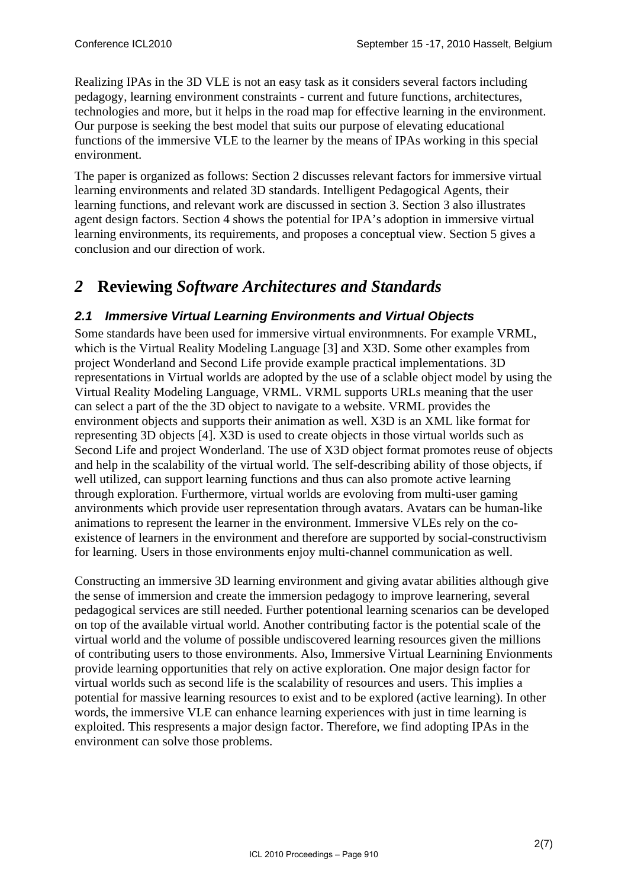Realizing IPAs in the 3D VLE is not an easy task as it considers several factors including pedagogy, learning environment constraints - current and future functions, architectures, technologies and more, but it helps in the road map for effective learning in the environment. Our purpose is seeking the best model that suits our purpose of elevating educational functions of the immersive VLE to the learner by the means of IPAs working in this special environment.

The paper is organized as follows: Section 2 discusses relevant factors for immersive virtual learning environments and related 3D standards. Intelligent Pedagogical Agents, their learning functions, and relevant work are discussed in section 3. Section 3 also illustrates agent design factors. Section 4 shows the potential for IPA's adoption in immersive virtual learning environments, its requirements, and proposes a conceptual view. Section 5 gives a conclusion and our direction of work.

### *2* **Reviewing** *Software Architectures and Standards*

### *2.1 Immersive Virtual Learning Environments and Virtual Objects*

Some standards have been used for immersive virtual environmnents. For example VRML, which is the Virtual Reality Modeling Language [\[3\]](#page-5-2) and X3D. Some other examples from project Wonderland and Second Life provide example practical implementations. 3D representations in Virtual worlds are adopted by the use of a sclable object model by using the Virtual Reality Modeling Language, VRML. VRML supports URLs meaning that the user can select a part of the the 3D object to navigate to a website. VRML provides the environment objects and supports their animation as well. X3D is an XML like format for representing 3D objects [\[4\].](#page-5-3) X3D is used to create objects in those virtual worlds such as Second Life and project Wonderland. The use of X3D object format promotes reuse of objects and help in the scalability of the virtual world. The self-describing ability of those objects, if well utilized, can support learning functions and thus can also promote active learning through exploration. Furthermore, virtual worlds are evoloving from multi-user gaming anvironments which provide user representation through avatars. Avatars can be human-like animations to represent the learner in the environment. Immersive VLEs rely on the coexistence of learners in the environment and therefore are supported by social-constructivism for learning. Users in those environments enjoy multi-channel communication as well.

Constructing an immersive 3D learning environment and giving avatar abilities although give the sense of immersion and create the immersion pedagogy to improve learnering, several pedagogical services are still needed. Further potentional learning scenarios can be developed on top of the available virtual world. Another contributing factor is the potential scale of the virtual world and the volume of possible undiscovered learning resources given the millions of contributing users to those environments. Also, Immersive Virtual Learnining Envionments provide learning opportunities that rely on active exploration. One major design factor for virtual worlds such as second life is the scalability of resources and users. This implies a potential for massive learning resources to exist and to be explored (active learning). In other words, the immersive VLE can enhance learning experiences with just in time learning is exploited. This respresents a major design factor. Therefore, we find adopting IPAs in the environment can solve those problems.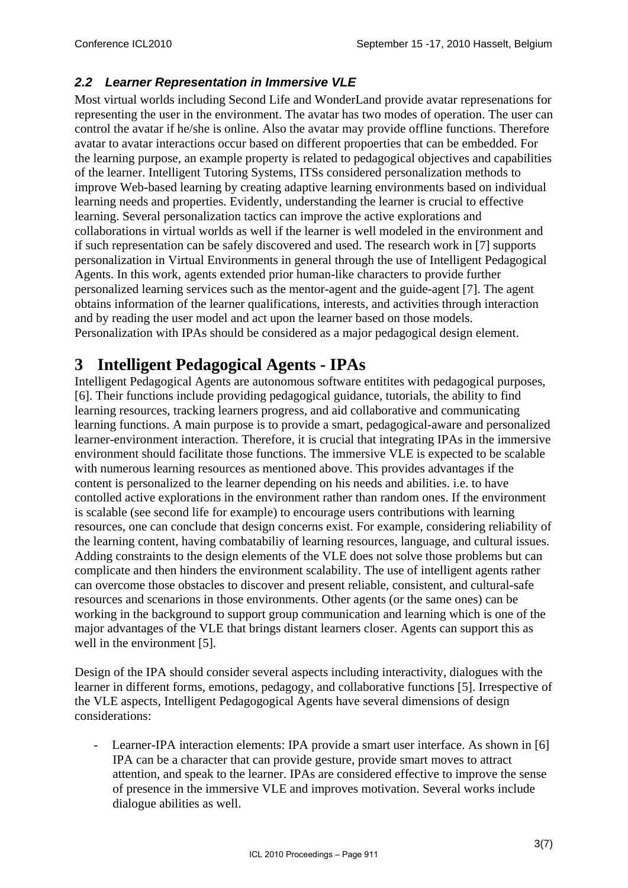#### *2.2 Learner Representation in Immersive VLE*

Most virtual worlds including Second Life and WonderLand provide avatar represenations for representing the user in the environment. The avatar has two modes of operation. The user can control the avatar if he/she is online. Also the avatar may provide offline functions. Therefore avatar to avatar interactions occur based on different propoerties that can be embedded. For the learning purpose, an example property is related to pedagogical objectives and capabilities of the learner. Intelligent Tutoring Systems, ITSs considered personalization methods to improve Web-based learning by creating adaptive learning environments based on individual learning needs and properties. Evidently, understanding the learner is crucial to effective learning. Several personalization tactics can improve the active explorations and collaborations in virtual worlds as well if the learner is well modeled in the environment and if such representation can be safely discovered and used. The research work in [\[7\]](#page-5-6) supports personalization in Virtual Environments in general through the use of Intelligent Pedagogical Agents. In this work, agents extended prior human-like characters to provide further personalized learning services such as the mentor-agent and the guide-agent [\[7\].](#page-5-6) The agent obtains information of the learner qualifications, interests, and activities through interaction and by reading the user model and act upon the learner based on those models. Personalization with IPAs should be considered as a major pedagogical design element.

### **3 Intelligent Pedagogical Agents - IPAs**

Intelligent Pedagogical Agents are autonomous software entitites with pedagogical purposes, [\[6\].](#page-5-5) Their functions include providing pedagogical guidance, tutorials, the ability to find learning resources, tracking learners progress, and aid collaborative and communicating learning functions. A main purpose is to provide a smart, pedagogical-aware and personalized learner-environment interaction. Therefore, it is crucial that integrating IPAs in the immersive environment should facilitate those functions. The immersive VLE is expected to be scalable with numerous learning resources as mentioned above. This provides advantages if the content is personalized to the learner depending on his needs and abilities. i.e. to have contolled active explorations in the environment rather than random ones. If the environment is scalable (see second life for example) to encourage users contributions with learning resources, one can conclude that design concerns exist. For example, considering reliability of the learning content, having combatabiliy of learning resources, language, and cultural issues. Adding constraints to the design elements of the VLE does not solve those problems but can complicate and then hinders the environment scalability. The use of intelligent agents rather can overcome those obstacles to discover and present reliable, consistent, and cultural-safe resources and scenarions in those environments. Other agents (or the same ones) can be working in the background to support group communication and learning which is one of the major advantages of the VLE that brings distant learners closer. Agents can support this as well in the environment [\[5\]](#page-5-4).

Design of the IPA should consider several aspects including interactivity, dialogues with the learner in different forms, emotions, pedagogy, and collaborative functions [\[5\].](#page-5-4) Irrespective of the VLE aspects, Intelligent Pedagogogical Agents have several dimensions of design considerations:

Learner-IPA interaction elements: IPA provide a smart user interface. As shown in [\[6\]](#page-5-5) IPA can be a character that can provide gesture, provide smart moves to attract attention, and speak to the learner. IPAs are considered effective to improve the sense of presence in the immersive VLE and improves motivation. Several works include dialogue abilities as well.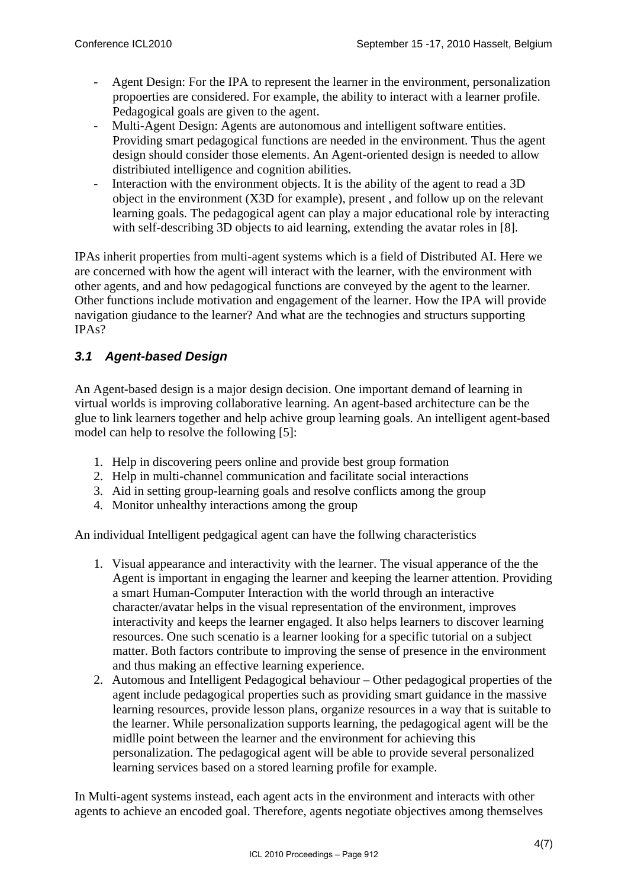- Agent Design: For the IPA to represent the learner in the environment, personalization propoerties are considered. For example, the ability to interact with a learner profile. Pedagogical goals are given to the agent.
- Multi-Agent Design: Agents are autonomous and intelligent software entities. Providing smart pedagogical functions are needed in the environment. Thus the agent design should consider those elements. An Agent-oriented design is needed to allow distribiuted intelligence and cognition abilities.
- Interaction with the environment objects. It is the ability of the agent to read a 3D object in the environment (X3D for example), present , and follow up on the relevant learning goals. The pedagogical agent can play a major educational role by interacting with self-describing 3D objects to aid learning, extending the avatar roles in [\[8\]](#page-6-0).

IPAs inherit properties from multi-agent systems which is a field of Distributed AI. Here we are concerned with how the agent will interact with the learner, with the environment with other agents, and and how pedagogical functions are conveyed by the agent to the learner. Other functions include motivation and engagement of the learner. How the IPA will provide navigation giudance to the learner? And what are the technogies and structurs supporting IPAs?

### *3.1 Agent-based Design*

An Agent-based design is a major design decision. One important demand of learning in virtual worlds is improving collaborative learning. An agent-based architecture can be the glue to link learners together and help achive group learning goals. An intelligent agent-based model can help to resolve the following [\[5\]](#page-5-4):

- 1. Help in discovering peers online and provide best group formation
- 2. Help in multi-channel communication and facilitate social interactions
- 3. Aid in setting group-learning goals and resolve conflicts among the group
- 4. Monitor unhealthy interactions among the group

An individual Intelligent pedgagical agent can have the follwing characteristics

- 1. Visual appearance and interactivity with the learner. The visual apperance of the the Agent is important in engaging the learner and keeping the learner attention. Providing a smart Human-Computer Interaction with the world through an interactive character/avatar helps in the visual representation of the environment, improves interactivity and keeps the learner engaged. It also helps learners to discover learning resources. One such scenatio is a learner looking for a specific tutorial on a subject matter. Both factors contribute to improving the sense of presence in the environment and thus making an effective learning experience.
- 2. Automous and Intelligent Pedagogical behaviour Other pedagogical properties of the agent include pedagogical properties such as providing smart guidance in the massive learning resources, provide lesson plans, organize resources in a way that is suitable to the learner. While personalization supports learning, the pedagogical agent will be the midlle point between the learner and the environment for achieving this personalization. The pedagogical agent will be able to provide several personalized learning services based on a stored learning profile for example.

In Multi-agent systems instead, each agent acts in the environment and interacts with other agents to achieve an encoded goal. Therefore, agents negotiate objectives among themselves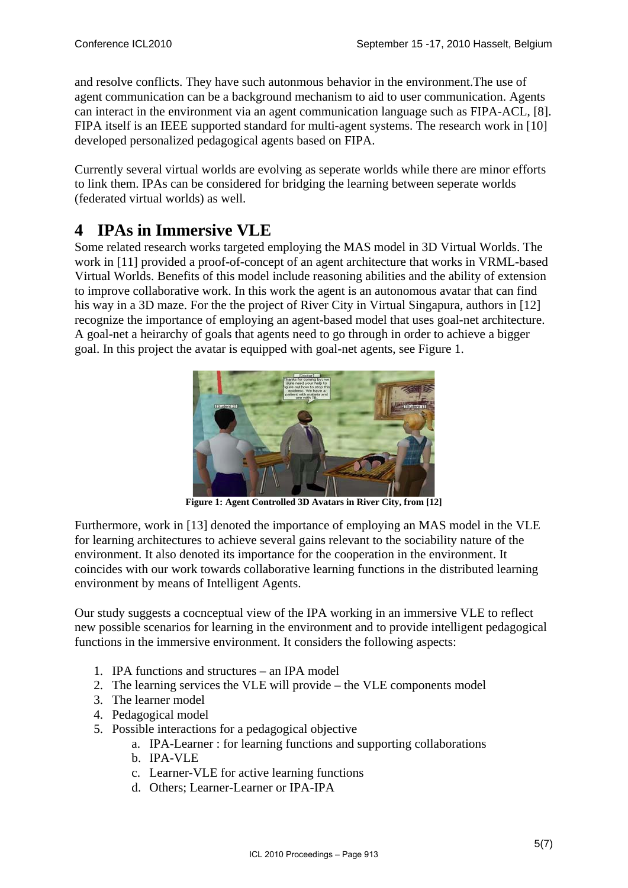and resolve conflicts. They have such autonmous behavior in the environment.The use of agent communication can be a background mechanism to aid to user communication. Agents can interact in the environment via an agent communication language such as FIPA-ACL, [\[8\].](#page-6-0) FIPA itself is an IEEE supported standard for multi-agent systems. The research work in [\[10\]](#page-6-1) developed personalized pedagogical agents based on FIPA.

Currently several virtual worlds are evolving as seperate worlds while there are minor efforts to link them. IPAs can be considered for bridging the learning between seperate worlds (federated virtual worlds) as well.

### **4 IPAs in Immersive VLE**

Some related research works targeted employing the MAS model in 3D Virtual Worlds. The work in [\[11\]](#page-6-2) provided a proof-of-concept of an agent architecture that works in VRML-based Virtual Worlds. Benefits of this model include reasoning abilities and the ability of extension to improve collaborative work. In this work the agent is an autonomous avatar that can find his way in a 3D maze. For the the project of River City in Virtual Singapura, authors in [\[12\]](#page-6-3) recognize the importance of employing an agent-based model that uses goal-net architecture. A goal-net a heirarchy of goals that agents need to go through in order to achieve a bigger goal. In this project the avatar is equipped with goal-net agents, see [Figure 1](#page-4-0).



Figure 1: Agent Controlled 3D Avatars in River City, from [12]

<span id="page-4-0"></span>Furthermore, work in [\[13\]](#page-6-4) denoted the importance of employing an MAS model in the VLE for learning architectures to achieve several gains relevant to the sociability nature of the environment. It also denoted its importance for the cooperation in the environment. It coincides with our work towards collaborative learning functions in the distributed learning environment by means of Intelligent Agents.

Our study suggests a cocnceptual view of the IPA working in an immersive VLE to reflect new possible scenarios for learning in the environment and to provide intelligent pedagogical functions in the immersive environment. It considers the following aspects:

- 1. IPA functions and structures an IPA model
- 2. The learning services the VLE will provide the VLE components model
- 3. The learner model
- 4. Pedagogical model
- 5. Possible interactions for a pedagogical objective
	- a. IPA-Learner : for learning functions and supporting collaborations
	- b. IPA-VLE
	- c. Learner-VLE for active learning functions
	- d. Others; Learner-Learner or IPA-IPA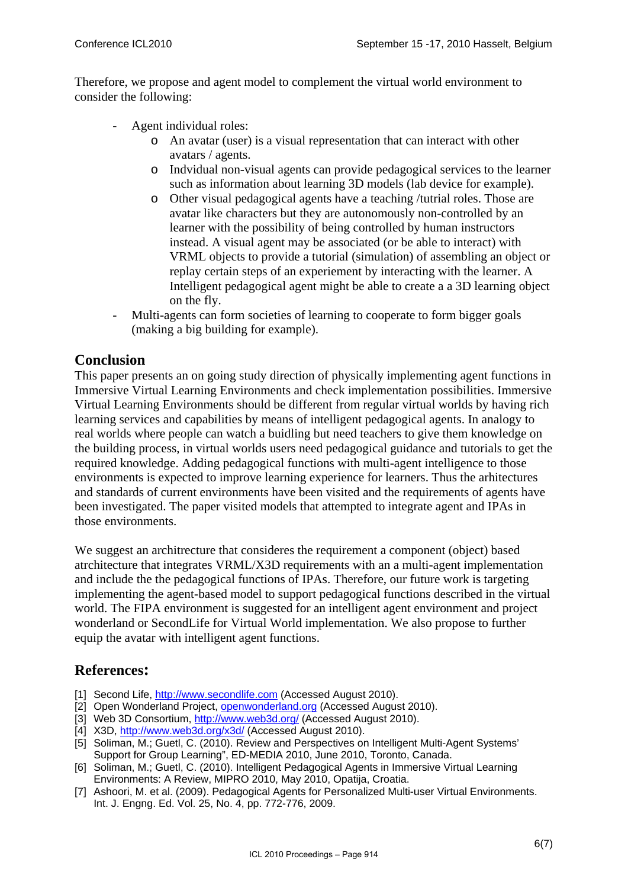Therefore, we propose and agent model to complement the virtual world environment to consider the following:

- Agent individual roles:
	- o An avatar (user) is a visual representation that can interact with other avatars / agents.
	- o Indvidual non-visual agents can provide pedagogical services to the learner such as information about learning 3D models (lab device for example).
	- o Other visual pedagogical agents have a teaching /tutrial roles. Those are avatar like characters but they are autonomously non-controlled by an learner with the possibility of being controlled by human instructors instead. A visual agent may be associated (or be able to interact) with VRML objects to provide a tutorial (simulation) of assembling an object or replay certain steps of an experiement by interacting with the learner. A Intelligent pedagogical agent might be able to create a a 3D learning object on the fly.
- Multi-agents can form societies of learning to cooperate to form bigger goals (making a big building for example).

#### **Conclusion**

This paper presents an on going study direction of physically implementing agent functions in Immersive Virtual Learning Environments and check implementation possibilities. Immersive Virtual Learning Environments should be different from regular virtual worlds by having rich learning services and capabilities by means of intelligent pedagogical agents. In analogy to real worlds where people can watch a buidling but need teachers to give them knowledge on the building process, in virtual worlds users need pedagogical guidance and tutorials to get the required knowledge. Adding pedagogical functions with multi-agent intelligence to those environments is expected to improve learning experience for learners. Thus the arhitectures and standards of current environments have been visited and the requirements of agents have been investigated. The paper visited models that attempted to integrate agent and IPAs in those environments.

We suggest an architrecture that consideres the requirement a component (object) based atrchitecture that integrates VRML/X3D requirements with an a multi-agent implementation and include the the pedagogical functions of IPAs. Therefore, our future work is targeting implementing the agent-based model to support pedagogical functions described in the virtual world. The FIPA environment is suggested for an intelligent agent environment and project wonderland or SecondLife for Virtual World implementation. We also propose to further equip the avatar with intelligent agent functions.

#### **References:**

- <span id="page-5-0"></span>[1] Second Life, [http://www.secondlife.com](http://www.secondlife.com/) (Accessed August 2010).
- <span id="page-5-1"></span>[2] Open Wonderland Project, openwonderland.org (Accessed August 2010).
- <span id="page-5-2"></span>[3] Web 3D Consortium,<http://www.web3d.org/> (Accessed August 2010).
- [4] X3D, <http://www.web3d.org/x3d/>(Accessed August 2010).
- <span id="page-5-4"></span><span id="page-5-3"></span>[5] Soliman, M.; Guetl, C. (2010). Review and Perspectives on Intelligent Multi-Agent Systems' Support for Group Learning", ED-MEDIA 2010, June 2010, Toronto, Canada.
- <span id="page-5-5"></span>[6] Soliman, M.; Guetl, C. (2010). Intelligent Pedagogical Agents in Immersive Virtual Learning Environments: A Review, MIPRO 2010, May 2010, Opatija, Croatia.
- <span id="page-5-6"></span>[7] Ashoori, M. et al. (2009). Pedagogical Agents for Personalized Multi-user Virtual Environments. Int. J. Engng. Ed. Vol. 25, No. 4, pp. 772-776, 2009.